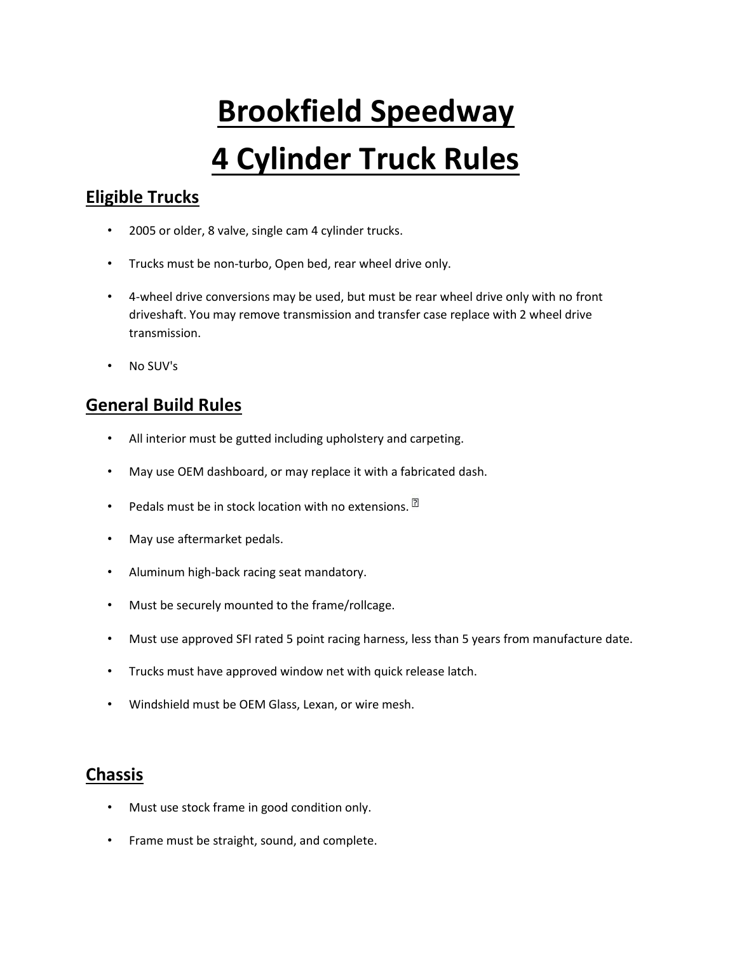# **Brookfield Speedway 4 Cylinder Truck Rules**

# **Eligible Trucks**

- 2005 or older, 8 valve, single cam 4 cylinder trucks.
- Trucks must be non-turbo, Open bed, rear wheel drive only.
- 4-wheel drive conversions may be used, but must be rear wheel drive only with no front driveshaft. You may remove transmission and transfer case replace with 2 wheel drive transmission.
- No SUV's

#### **General Build Rules**

- All interior must be gutted including upholstery and carpeting.
- May use OEM dashboard, or may replace it with a fabricated dash.
- Pedals must be in stock location with no extensions.  $\mathbb{Z}$
- May use aftermarket pedals.
- Aluminum high-back racing seat mandatory.
- Must be securely mounted to the frame/rollcage.
- Must use approved SFI rated 5 point racing harness, less than 5 years from manufacture date.
- Trucks must have approved window net with quick release latch.
- Windshield must be OEM Glass, Lexan, or wire mesh.

# **Chassis**

- Must use stock frame in good condition only.
- Frame must be straight, sound, and complete.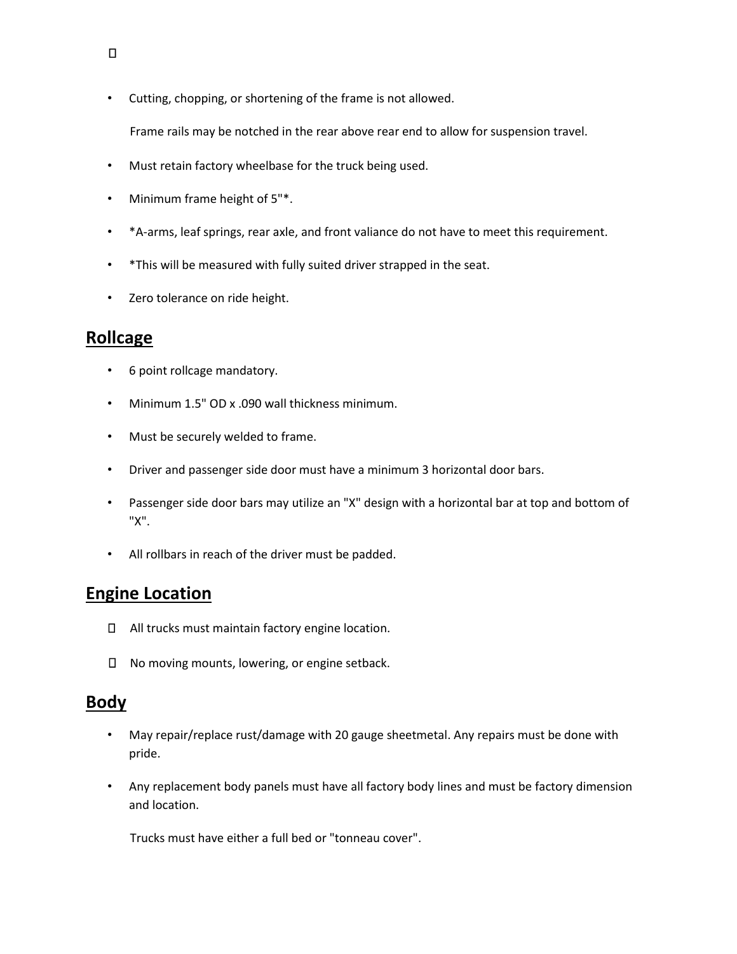• Cutting, chopping, or shortening of the frame is not allowed.

Frame rails may be notched in the rear above rear end to allow for suspension travel.

- Must retain factory wheelbase for the truck being used.
- Minimum frame height of 5"\*.
- \*A-arms, leaf springs, rear axle, and front valiance do not have to meet this requirement.
- \*This will be measured with fully suited driver strapped in the seat.
- Zero tolerance on ride height.

#### **Rollcage**

- 6 point rollcage mandatory.
- Minimum 1.5" OD x .090 wall thickness minimum.
- Must be securely welded to frame.
- Driver and passenger side door must have a minimum 3 horizontal door bars.
- Passenger side door bars may utilize an "X" design with a horizontal bar at top and bottom of "X".
- All rollbars in reach of the driver must be padded.

#### **Engine Location**

- All trucks must maintain factory engine location.
- $\Box$  No moving mounts, lowering, or engine setback.

#### **Body**

- May repair/replace rust/damage with 20 gauge sheetmetal. Any repairs must be done with pride.
- Any replacement body panels must have all factory body lines and must be factory dimension and location.

Trucks must have either a full bed or "tonneau cover".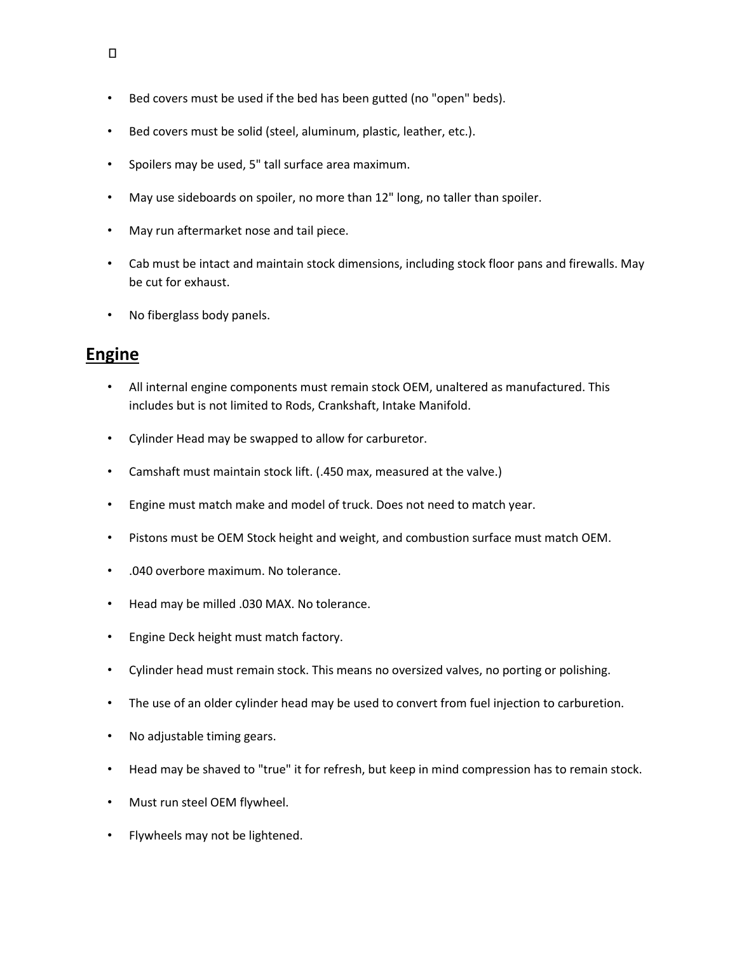- Bed covers must be used if the bed has been gutted (no "open" beds).
- Bed covers must be solid (steel, aluminum, plastic, leather, etc.).
- Spoilers may be used, 5" tall surface area maximum.
- May use sideboards on spoiler, no more than 12" long, no taller than spoiler.
- May run aftermarket nose and tail piece.
- Cab must be intact and maintain stock dimensions, including stock floor pans and firewalls. May be cut for exhaust.
- No fiberglass body panels.

#### **Engine**

- All internal engine components must remain stock OEM, unaltered as manufactured. This includes but is not limited to Rods, Crankshaft, Intake Manifold.
- Cylinder Head may be swapped to allow for carburetor.
- Camshaft must maintain stock lift. (.450 max, measured at the valve.)
- Engine must match make and model of truck. Does not need to match year.
- Pistons must be OEM Stock height and weight, and combustion surface must match OEM.
- .040 overbore maximum. No tolerance.
- Head may be milled .030 MAX. No tolerance.
- Engine Deck height must match factory.
- Cylinder head must remain stock. This means no oversized valves, no porting or polishing.
- The use of an older cylinder head may be used to convert from fuel injection to carburetion.
- No adjustable timing gears.
- Head may be shaved to "true" it for refresh, but keep in mind compression has to remain stock.
- Must run steel OEM flywheel.
- Flywheels may not be lightened.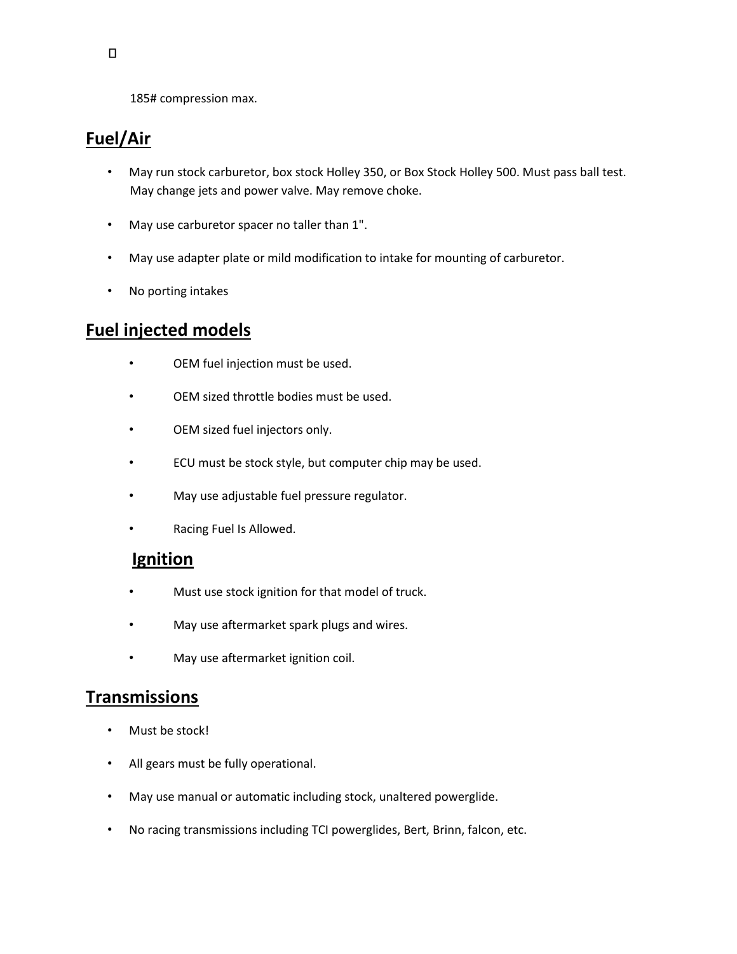185# compression max.

# **Fuel/Air**

- May run stock carburetor, box stock Holley 350, or Box Stock Holley 500. Must pass ball test. May change jets and power valve. May remove choke.
- May use carburetor spacer no taller than 1".
- May use adapter plate or mild modification to intake for mounting of carburetor.
- No porting intakes

# **Fuel injected models**

- OEM fuel injection must be used.
- OEM sized throttle bodies must be used.
- OEM sized fuel injectors only.
- ECU must be stock style, but computer chip may be used.
- May use adjustable fuel pressure regulator.
- Racing Fuel Is Allowed.

#### **Ignition**

- Must use stock ignition for that model of truck.
- May use aftermarket spark plugs and wires.
- May use aftermarket ignition coil.

#### **Transmissions**

- Must be stock!
- All gears must be fully operational.
- May use manual or automatic including stock, unaltered powerglide.
- No racing transmissions including TCI powerglides, Bert, Brinn, falcon, etc.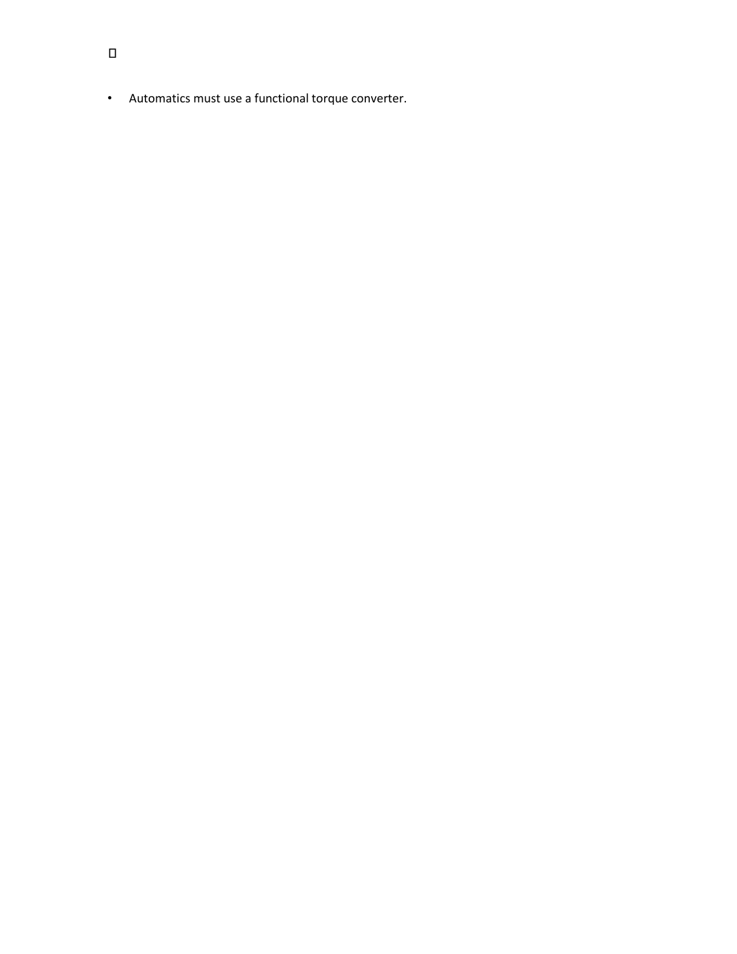• Automatics must use a functional torque converter.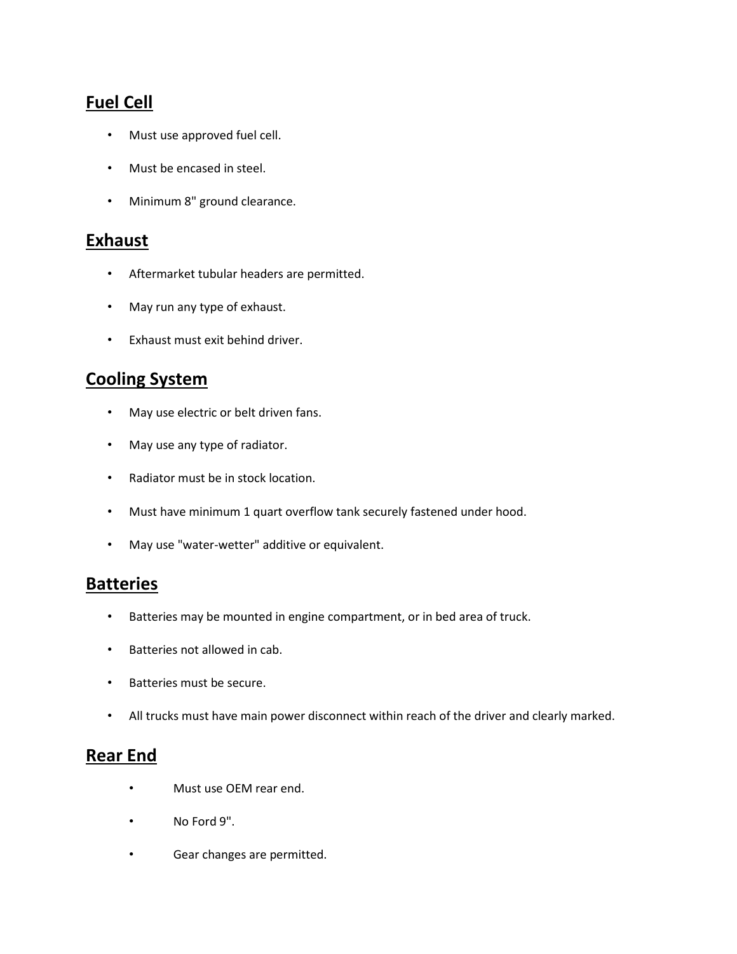# **Fuel Cell**

- Must use approved fuel cell.
- Must be encased in steel.
- Minimum 8" ground clearance.

#### **Exhaust**

- Aftermarket tubular headers are permitted.
- May run any type of exhaust.
- Exhaust must exit behind driver.

# **Cooling System**

- May use electric or belt driven fans.
- May use any type of radiator.
- Radiator must be in stock location.
- Must have minimum 1 quart overflow tank securely fastened under hood.
- May use "water-wetter" additive or equivalent.

#### **Batteries**

- Batteries may be mounted in engine compartment, or in bed area of truck.
- Batteries not allowed in cab.
- Batteries must be secure.
- All trucks must have main power disconnect within reach of the driver and clearly marked.

#### **Rear End**

- Must use OEM rear end.
- No Ford 9".
- Gear changes are permitted.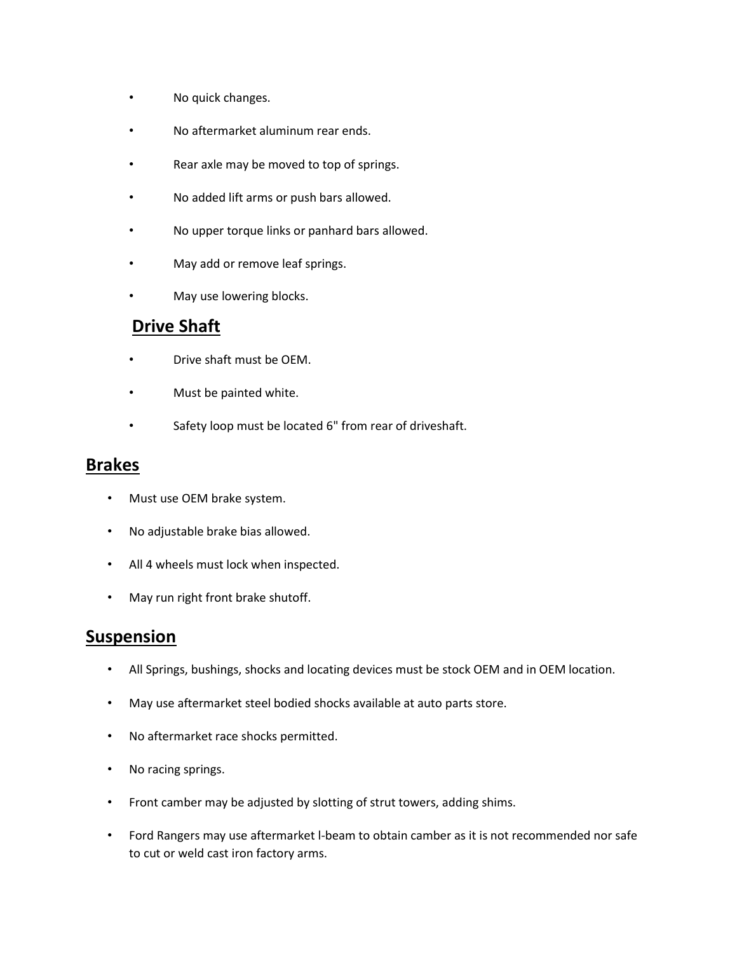- No quick changes.
- No aftermarket aluminum rear ends.
- Rear axle may be moved to top of springs.
- No added lift arms or push bars allowed.
- No upper torque links or panhard bars allowed.
- May add or remove leaf springs.
- May use lowering blocks.

# **Drive Shaft**

- Drive shaft must be OEM.
- Must be painted white.
- Safety loop must be located 6" from rear of driveshaft.

#### **Brakes**

- Must use OEM brake system.
- No adjustable brake bias allowed.
- All 4 wheels must lock when inspected.
- May run right front brake shutoff.

# **Suspension**

- All Springs, bushings, shocks and locating devices must be stock OEM and in OEM location.
- May use aftermarket steel bodied shocks available at auto parts store.
- No aftermarket race shocks permitted.
- No racing springs.
- Front camber may be adjusted by slotting of strut towers, adding shims.
- Ford Rangers may use aftermarket l-beam to obtain camber as it is not recommended nor safe to cut or weld cast iron factory arms.